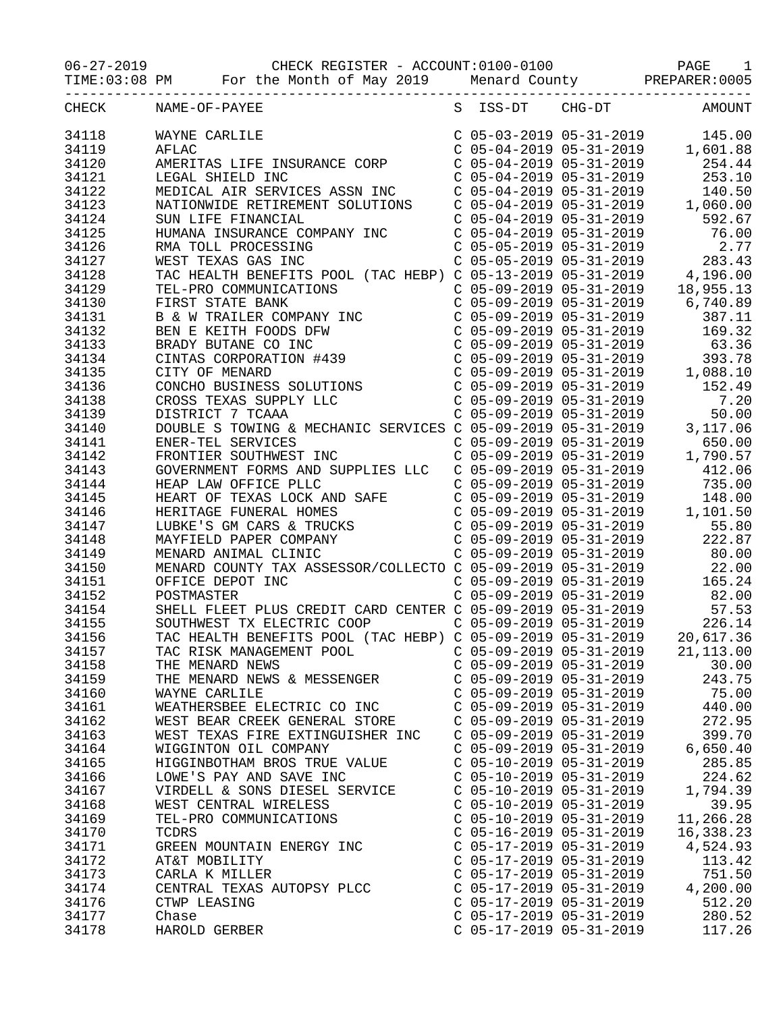06-27-2019 CHECK REGISTER - ACCOUNT:0100-0100 PAGE 1

TIME:03:08 PM For the Month of May 2019 Menard County PREPARER:0005

| CHECK | NAME-OF-PAYEE<br>$\begin{tabular}{l c c c c c} \multicolumn{1}{c}{\textbf{NAMF-OP-PATE}} & \multicolumn{1}{c}{\textbf{S}} & \multicolumn{1}{c}{\textbf{S}} & \multicolumn{1}{c}{\textbf{S}} & \multicolumn{1}{c}{\textbf{S}} & \multicolumn{1}{c}{\textbf{S}} & \multicolumn{1}{c}{\textbf{S}} & \multicolumn{1}{c}{\textbf{S}} & \multicolumn{1}{c}{\textbf{S}} & \multicolumn{1}{c}{\textbf{S}} & \multicolumn{1}{c}{\textbf{S}} & \multicolumn{1}{c}{\textbf{S}} & \multicolumn$ |                           | S ISS-DT CHG-DT AMOUNT             |
|-------|-------------------------------------------------------------------------------------------------------------------------------------------------------------------------------------------------------------------------------------------------------------------------------------------------------------------------------------------------------------------------------------------------------------------------------------------------------------------------------------|---------------------------|------------------------------------|
| 34118 |                                                                                                                                                                                                                                                                                                                                                                                                                                                                                     |                           |                                    |
| 34119 |                                                                                                                                                                                                                                                                                                                                                                                                                                                                                     |                           |                                    |
| 34120 |                                                                                                                                                                                                                                                                                                                                                                                                                                                                                     |                           |                                    |
| 34121 |                                                                                                                                                                                                                                                                                                                                                                                                                                                                                     |                           |                                    |
| 34122 |                                                                                                                                                                                                                                                                                                                                                                                                                                                                                     |                           |                                    |
|       |                                                                                                                                                                                                                                                                                                                                                                                                                                                                                     |                           |                                    |
| 34123 |                                                                                                                                                                                                                                                                                                                                                                                                                                                                                     |                           |                                    |
| 34124 |                                                                                                                                                                                                                                                                                                                                                                                                                                                                                     |                           |                                    |
| 34125 |                                                                                                                                                                                                                                                                                                                                                                                                                                                                                     |                           |                                    |
| 34126 |                                                                                                                                                                                                                                                                                                                                                                                                                                                                                     |                           |                                    |
| 34127 |                                                                                                                                                                                                                                                                                                                                                                                                                                                                                     |                           |                                    |
| 34128 |                                                                                                                                                                                                                                                                                                                                                                                                                                                                                     |                           |                                    |
| 34129 |                                                                                                                                                                                                                                                                                                                                                                                                                                                                                     |                           |                                    |
| 34130 |                                                                                                                                                                                                                                                                                                                                                                                                                                                                                     |                           |                                    |
| 34131 |                                                                                                                                                                                                                                                                                                                                                                                                                                                                                     |                           |                                    |
| 34132 |                                                                                                                                                                                                                                                                                                                                                                                                                                                                                     |                           |                                    |
| 34133 |                                                                                                                                                                                                                                                                                                                                                                                                                                                                                     |                           |                                    |
| 34134 |                                                                                                                                                                                                                                                                                                                                                                                                                                                                                     |                           |                                    |
| 34135 |                                                                                                                                                                                                                                                                                                                                                                                                                                                                                     |                           |                                    |
| 34136 |                                                                                                                                                                                                                                                                                                                                                                                                                                                                                     |                           |                                    |
| 34138 |                                                                                                                                                                                                                                                                                                                                                                                                                                                                                     |                           |                                    |
| 34139 |                                                                                                                                                                                                                                                                                                                                                                                                                                                                                     |                           |                                    |
| 34140 |                                                                                                                                                                                                                                                                                                                                                                                                                                                                                     |                           |                                    |
| 34141 |                                                                                                                                                                                                                                                                                                                                                                                                                                                                                     |                           |                                    |
| 34142 |                                                                                                                                                                                                                                                                                                                                                                                                                                                                                     |                           |                                    |
| 34143 |                                                                                                                                                                                                                                                                                                                                                                                                                                                                                     |                           |                                    |
| 34144 |                                                                                                                                                                                                                                                                                                                                                                                                                                                                                     |                           |                                    |
| 34145 |                                                                                                                                                                                                                                                                                                                                                                                                                                                                                     |                           |                                    |
| 34146 |                                                                                                                                                                                                                                                                                                                                                                                                                                                                                     |                           |                                    |
| 34147 |                                                                                                                                                                                                                                                                                                                                                                                                                                                                                     |                           |                                    |
| 34148 |                                                                                                                                                                                                                                                                                                                                                                                                                                                                                     |                           |                                    |
| 34149 |                                                                                                                                                                                                                                                                                                                                                                                                                                                                                     |                           |                                    |
| 34150 |                                                                                                                                                                                                                                                                                                                                                                                                                                                                                     |                           |                                    |
| 34151 |                                                                                                                                                                                                                                                                                                                                                                                                                                                                                     |                           |                                    |
|       | T INC<br>OFFICE DEPOT INC                                                                                                                                                                                                                                                                                                                                                                                                                                                           |                           | C $05-09-2019$ $05-31-2019$ 165.24 |
| 34152 | POSTMASTER<br>POSTMASTER<br>SHELL FLEET PLUS CREDIT CARD CENTER C 05-09-2019 05-31-2019<br>SOUTHWEST TX ELECTRIC COOP<br>TAC HEALTH BENEFITS POOL (TAC HEBP) C 05-09-2019 05-31-2019<br>C 05-09-2019 05-31-2019<br>226.14                                                                                                                                                                                                                                                           |                           |                                    |
| 34154 |                                                                                                                                                                                                                                                                                                                                                                                                                                                                                     |                           |                                    |
| 34155 |                                                                                                                                                                                                                                                                                                                                                                                                                                                                                     |                           |                                    |
| 34156 |                                                                                                                                                                                                                                                                                                                                                                                                                                                                                     |                           |                                    |
| 34157 | TAC RISK MANAGEMENT POOL C 05-09-2019 05-31-2019 21,113.00                                                                                                                                                                                                                                                                                                                                                                                                                          |                           |                                    |
| 34158 | THE MENARD NEWS                                                                                                                                                                                                                                                                                                                                                                                                                                                                     | C 05-09-2019 05-31-2019   | 30.00                              |
| 34159 | THE MENARD NEWS & MESSENGER                                                                                                                                                                                                                                                                                                                                                                                                                                                         | $C$ 05-09-2019 05-31-2019 | 243.75                             |
| 34160 | WAYNE CARLILE                                                                                                                                                                                                                                                                                                                                                                                                                                                                       | $C$ 05-09-2019 05-31-2019 | 75.00                              |
| 34161 | WEATHERSBEE ELECTRIC CO INC                                                                                                                                                                                                                                                                                                                                                                                                                                                         | $C$ 05-09-2019 05-31-2019 | 440.00                             |
| 34162 | WEST BEAR CREEK GENERAL STORE                                                                                                                                                                                                                                                                                                                                                                                                                                                       | $C$ 05-09-2019 05-31-2019 | 272.95                             |
| 34163 | WEST TEXAS FIRE EXTINGUISHER INC                                                                                                                                                                                                                                                                                                                                                                                                                                                    | $C$ 05-09-2019 05-31-2019 | 399.70                             |
| 34164 | WIGGINTON OIL COMPANY                                                                                                                                                                                                                                                                                                                                                                                                                                                               | $C$ 05-09-2019 05-31-2019 | 6,650.40                           |
| 34165 | HIGGINBOTHAM BROS TRUE VALUE                                                                                                                                                                                                                                                                                                                                                                                                                                                        | $C$ 05-10-2019 05-31-2019 | 285.85                             |
| 34166 | LOWE'S PAY AND SAVE INC                                                                                                                                                                                                                                                                                                                                                                                                                                                             | $C$ 05-10-2019 05-31-2019 | 224.62                             |
| 34167 | VIRDELL & SONS DIESEL SERVICE                                                                                                                                                                                                                                                                                                                                                                                                                                                       | $C$ 05-10-2019 05-31-2019 | 1,794.39                           |
| 34168 | WEST CENTRAL WIRELESS                                                                                                                                                                                                                                                                                                                                                                                                                                                               | $C$ 05-10-2019 05-31-2019 | 39.95                              |
| 34169 | TEL-PRO COMMUNICATIONS                                                                                                                                                                                                                                                                                                                                                                                                                                                              | $C$ 05-10-2019 05-31-2019 | 11,266.28                          |
| 34170 | TCDRS                                                                                                                                                                                                                                                                                                                                                                                                                                                                               | $C$ 05-16-2019 05-31-2019 | 16,338.23                          |
| 34171 | GREEN MOUNTAIN ENERGY INC                                                                                                                                                                                                                                                                                                                                                                                                                                                           | $C$ 05-17-2019 05-31-2019 | 4,524.93                           |
| 34172 | AT&T MOBILITY                                                                                                                                                                                                                                                                                                                                                                                                                                                                       | $C$ 05-17-2019 05-31-2019 | 113.42                             |
| 34173 | CARLA K MILLER                                                                                                                                                                                                                                                                                                                                                                                                                                                                      | $C$ 05-17-2019 05-31-2019 | 751.50                             |
| 34174 | CENTRAL TEXAS AUTOPSY PLCC                                                                                                                                                                                                                                                                                                                                                                                                                                                          | $C$ 05-17-2019 05-31-2019 | 4,200.00                           |
| 34176 | CTWP LEASING                                                                                                                                                                                                                                                                                                                                                                                                                                                                        | $C$ 05-17-2019 05-31-2019 | 512.20                             |
| 34177 | Chase                                                                                                                                                                                                                                                                                                                                                                                                                                                                               | $C$ 05-17-2019 05-31-2019 | 280.52                             |
| 34178 | HAROLD GERBER                                                                                                                                                                                                                                                                                                                                                                                                                                                                       | C 05-17-2019 05-31-2019   | 117.26                             |
|       |                                                                                                                                                                                                                                                                                                                                                                                                                                                                                     |                           |                                    |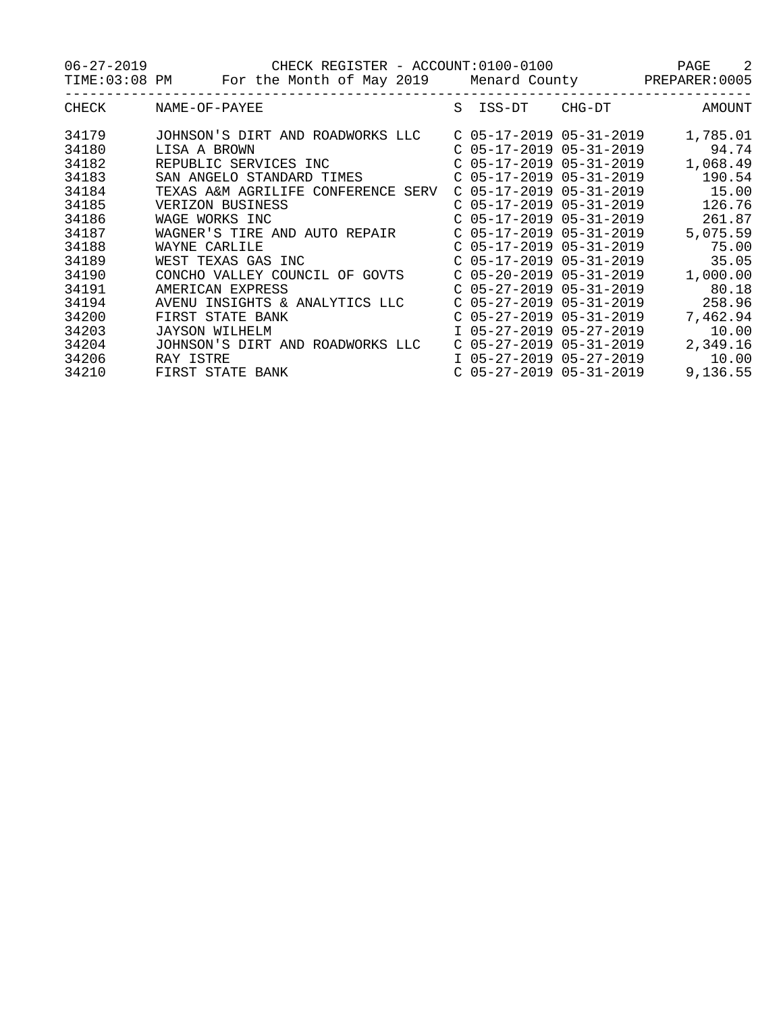06-27-2019 CHECK REGISTER - ACCOUNT:0100-0100 PAGE 2 TIME:03:08 PM For the Month of May 2019 Menard County PREPARER:0005 -----------------------------------------------------------------------------------

| <b>CHECK</b> | NAME-OF-PAYEE                      | S | ISS-DT                    | CHG-DT | <b>AMOUNT</b> |
|--------------|------------------------------------|---|---------------------------|--------|---------------|
| 34179        | JOHNSON'S DIRT AND ROADWORKS LLC   |   | $C$ 05-17-2019 05-31-2019 |        | 1,785.01      |
| 34180        | LISA A BROWN                       |   | $C$ 05-17-2019 05-31-2019 |        | 94.74         |
| 34182        | REPUBLIC SERVICES INC              |   | C 05-17-2019 05-31-2019   |        | 1,068.49      |
| 34183        | SAN ANGELO STANDARD TIMES          |   | $C$ 05-17-2019 05-31-2019 |        | 190.54        |
| 34184        | TEXAS A&M AGRILIFE CONFERENCE SERV |   | $C$ 05-17-2019 05-31-2019 |        | 15.00         |
| 34185        | VERIZON BUSINESS                   |   | $C$ 05-17-2019 05-31-2019 |        | 126.76        |
| 34186        | WAGE WORKS INC                     |   | $C$ 05-17-2019 05-31-2019 |        | 261.87        |
| 34187        | WAGNER'S TIRE AND AUTO REPAIR      |   | $C$ 05-17-2019 05-31-2019 |        | 5,075.59      |
| 34188        | WAYNE CARLILE                      |   | $C$ 05-17-2019 05-31-2019 |        | 75.00         |
| 34189        | WEST TEXAS GAS INC                 |   | $C$ 05-17-2019 05-31-2019 |        | 35.05         |
| 34190        | CONCHO VALLEY COUNCIL<br>OF GOVTS  |   | $C$ 05-20-2019 05-31-2019 |        | 1,000.00      |
| 34191        | AMERICAN EXPRESS                   |   | $C$ 05-27-2019 05-31-2019 |        | 80.18         |
| 34194        | AVENU INSIGHTS & ANALYTICS LLC     |   | $C$ 05-27-2019 05-31-2019 |        | 258.96        |
| 34200        | FIRST STATE BANK                   |   | $C$ 05-27-2019 05-31-2019 |        | 7,462.94      |
| 34203        | JAYSON WILHELM                     |   | I 05-27-2019 05-27-2019   |        | 10.00         |
| 34204        | JOHNSON'S DIRT AND ROADWORKS LLC   |   | $C$ 05-27-2019 05-31-2019 |        | 2,349.16      |
| 34206        | RAY ISTRE                          |   | I 05-27-2019 05-27-2019   |        | 10.00         |
| 34210        | FIRST STATE BANK                   |   | $C$ 05-27-2019 05-31-2019 |        | 9,136.55      |